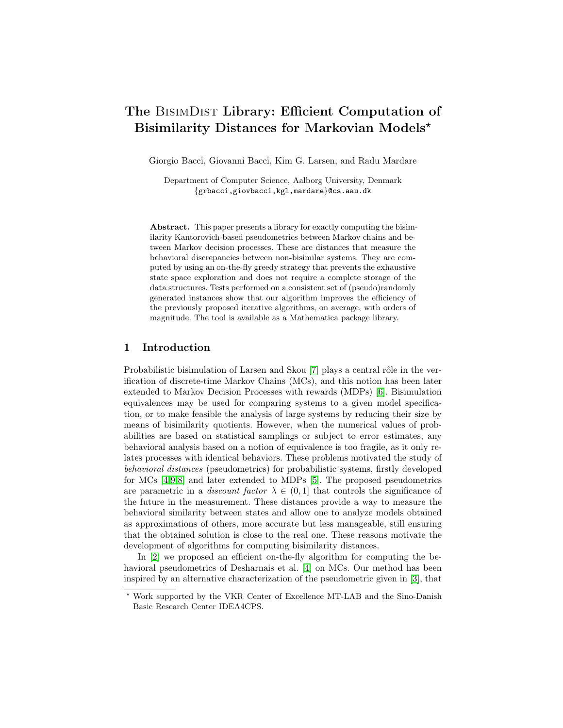# The BisimDist Library: Efficient Computation of Bisimilarity Distances for Markovian Models\*

Giorgio Bacci, Giovanni Bacci, Kim G. Larsen, and Radu Mardare

Department of Computer Science, Aalborg University, Denmark {grbacci,giovbacci,kgl,mardare}@cs.aau.dk

Abstract. This paper presents a library for exactly computing the bisimilarity Kantorovich-based pseudometrics between Markov chains and between Markov decision processes. These are distances that measure the behavioral discrepancies between non-bisimilar systems. They are computed by using an on-the-fly greedy strategy that prevents the exhaustive state space exploration and does not require a complete storage of the data structures. Tests performed on a consistent set of (pseudo)randomly generated instances show that our algorithm improves the efficiency of the previously proposed iterative algorithms, on average, with orders of magnitude. The tool is available as a Mathematica package library.

## 1 Introduction

Probabilistic bisimulation of Larsen and Skou [\[7\]](#page-3-0) plays a central rôle in the verification of discrete-time Markov Chains (MCs), and this notion has been later extended to Markov Decision Processes with rewards (MDPs) [\[6\]](#page-3-1). Bisimulation equivalences may be used for comparing systems to a given model specification, or to make feasible the analysis of large systems by reducing their size by means of bisimilarity quotients. However, when the numerical values of probabilities are based on statistical samplings or subject to error estimates, any behavioral analysis based on a notion of equivalence is too fragile, as it only relates processes with identical behaviors. These problems motivated the study of behavioral distances (pseudometrics) for probabilistic systems, firstly developed for MCs [\[4,](#page-3-2)[9,](#page-3-3)[8\]](#page-3-4) and later extended to MDPs [\[5\]](#page-3-5). The proposed pseudometrics are parametric in a *discount factor*  $\lambda \in (0,1]$  that controls the significance of the future in the measurement. These distances provide a way to measure the behavioral similarity between states and allow one to analyze models obtained as approximations of others, more accurate but less manageable, still ensuring that the obtained solution is close to the real one. These reasons motivate the development of algorithms for computing bisimilarity distances.

In [\[2\]](#page-3-6) we proposed an efficient on-the-fly algorithm for computing the behavioral pseudometrics of Desharnais et al. [\[4\]](#page-3-2) on MCs. Our method has been inspired by an alternative characterization of the pseudometric given in [\[3\]](#page-3-7), that

<sup>?</sup> Work supported by the VKR Center of Excellence MT-LAB and the Sino-Danish Basic Research Center IDEA4CPS.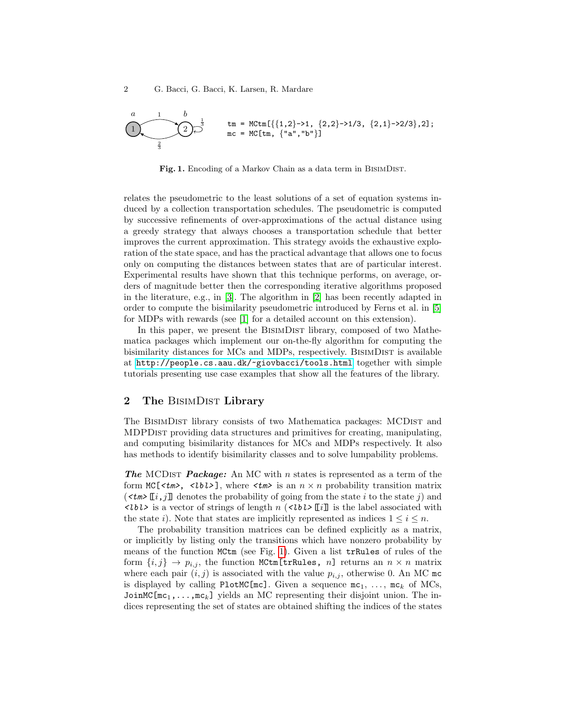2 G. Bacci, G. Bacci, K. Larsen, R. Mardare

$$
\underbrace{1}_{\frac{3}{3}} \underbrace{1}_{\frac{1}{3}} b_{\text{mc}} = \text{MCLm}[\{1,2\} \rightarrow 1, \{2,2\} \rightarrow 1/3, \{2,1\} \rightarrow 2/3\}, 2];
$$

<span id="page-1-0"></span>Fig. 1. Encoding of a Markov Chain as a data term in BisimDist.

relates the pseudometric to the least solutions of a set of equation systems induced by a collection transportation schedules. The pseudometric is computed by successive refinements of over-approximations of the actual distance using a greedy strategy that always chooses a transportation schedule that better improves the current approximation. This strategy avoids the exhaustive exploration of the state space, and has the practical advantage that allows one to focus only on computing the distances between states that are of particular interest. Experimental results have shown that this technique performs, on average, orders of magnitude better then the corresponding iterative algorithms proposed in the literature, e.g., in [\[3\]](#page-3-7). The algorithm in [\[2\]](#page-3-6) has been recently adapted in order to compute the bisimilarity pseudometric introduced by Ferns et al. in [\[5\]](#page-3-5) for MDPs with rewards (see [\[1\]](#page-3-8) for a detailed account on this extension).

In this paper, we present the BISIMDIST library, composed of two Mathematica packages which implement our on-the-fly algorithm for computing the bisimilarity distances for MCs and MDPs, respectively. BISIMDIST is available at <http://people.cs.aau.dk/~giovbacci/tools.html> together with simple tutorials presenting use case examples that show all the features of the library.

### 2 The BISIMDIST Library

The BISIMDIST library consists of two Mathematica packages: MCDIST and MDPDist providing data structures and primitives for creating, manipulating, and computing bisimilarity distances for MCs and MDPs respectively. It also has methods to identify bisimilarity classes and to solve lumpability problems.

**The MCDIST Package:** An MC with n states is represented as a term of the form  $MC[\langle tm\rangle, \langle lbl\rangle],$  where  $\langle tm\rangle$  is an  $n \times n$  probability transition matrix  $(\langle \mathcal{L} \mathbf{m} \rangle \mathbf{r}_i, j]$  denotes the probability of going from the state i to the state j) and  $\langle$ Ubl is a vector of strings of length n  $(\langle$ Ubl  $\rangle$ [i]] is the label associated with the state i). Note that states are implicitly represented as indices  $1 \leq i \leq n$ .

The probability transition matrices can be defined explicitly as a matrix, or implicitly by listing only the transitions which have nonzero probability by means of the function MCtm (see Fig. [1\)](#page-1-0). Given a list trRules of rules of the form  $\{i, j\} \rightarrow p_{i, j}$ , the function MCtm[trRules, n] returns an  $n \times n$  matrix where each pair  $(i, j)$  is associated with the value  $p_{i,j}$ , otherwise 0. An MC mc is displayed by calling PlotMC[mc]. Given a sequence  $mc_1$ , ...,  $mc_k$  of MCs, JoinMC[mc<sub>1</sub>,...,mc<sub>k</sub>] yields an MC representing their disjoint union. The indices representing the set of states are obtained shifting the indices of the states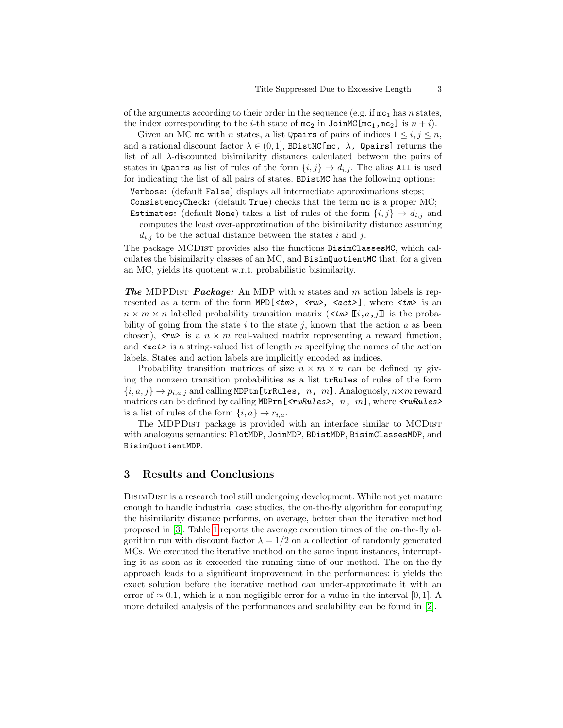of the arguments according to their order in the sequence (e.g. if  $mc_1$  has n states, the index corresponding to the *i*-th state of  $mc_2$  in  $JoinC[mc_1,mc_2]$  is  $n + i$ .

Given an MC mc with *n* states, a list Qpairs of pairs of indices  $1 \leq i, j \leq n$ , and a rational discount factor  $\lambda \in (0,1]$ , BDistMC[mc,  $\lambda$ , Qpairs] returns the list of all λ-discounted bisimilarity distances calculated between the pairs of states in Qpairs as list of rules of the form  $\{i, j\} \rightarrow d_{i,j}$ . The alias All is used for indicating the list of all pairs of states. BDistMC has the following options:

Verbose: (default False) displays all intermediate approximations steps;

ConsistencyCheck: (default True) checks that the term mc is a proper MC;

Estimates: (default None) takes a list of rules of the form  $\{i, j\} \rightarrow d_{i,j}$  and computes the least over-approximation of the bisimilarity distance assuming

 $d_{i,j}$  to be the actual distance between the states i and j.

The package MCDIST provides also the functions BisimClassesMC, which calculates the bisimilarity classes of an MC, and BisimQuotientMC that, for a given an MC, yields its quotient w.r.t. probabilistic bisimilarity.

**The MDPDIST Package:** An MDP with n states and m action labels is represented as a term of the form MPD[ $\langle tm \rangle$ ,  $\langle rw \rangle$ ,  $\langle act \rangle$ ], where  $\langle tm \rangle$  is an  $n \times m \times n$  labelled probability transition matrix  $(\langle t \rangle \mathbb{I}^i, a, j]$  is the probability of going from the state i to the state i, known that the action a as been chosen),  $\langle r w \rangle$  is a  $n \times m$  real-valued matrix representing a reward function, and  $\langle \textit{act} \rangle$  is a string-valued list of length m specifying the names of the action labels. States and action labels are implicitly encoded as indices.

Probability transition matrices of size  $n \times m \times n$  can be defined by giving the nonzero transition probabilities as a list trRules of rules of the form  ${i, a, j} \rightarrow p_{i, a, j}$  and calling MDPtm [trRules, n, m]. Analoguosly,  $n \times m$  reward matrices can be defined by calling  $MDPrm[\langle \text{rwhules} \rangle, n, m]$ , where  $\langle \text{rwhules} \rangle$ is a list of rules of the form  $\{i, a\} \rightarrow r_{i,a}$ .

The MDPDIST package is provided with an interface similar to MCDIST with analogous semantics: PlotMDP, JoinMDP, BDistMDP, BisimClassesMDP, and BisimQuotientMDP.

#### 3 Results and Conclusions

BisimDist is a research tool still undergoing development. While not yet mature enough to handle industrial case studies, the on-the-fly algorithm for computing the bisimilarity distance performs, on average, better than the iterative method proposed in [\[3\]](#page-3-7). Table [1](#page-3-9) reports the average execution times of the on-the-fly algorithm run with discount factor  $\lambda = 1/2$  on a collection of randomly generated MCs. We executed the iterative method on the same input instances, interrupting it as soon as it exceeded the running time of our method. The on-the-fly approach leads to a significant improvement in the performances: it yields the exact solution before the iterative method can under-approximate it with an error of  $\approx 0.1$ , which is a non-negligible error for a value in the interval [0, 1]. A more detailed analysis of the performances and scalability can be found in [\[2\]](#page-3-6).